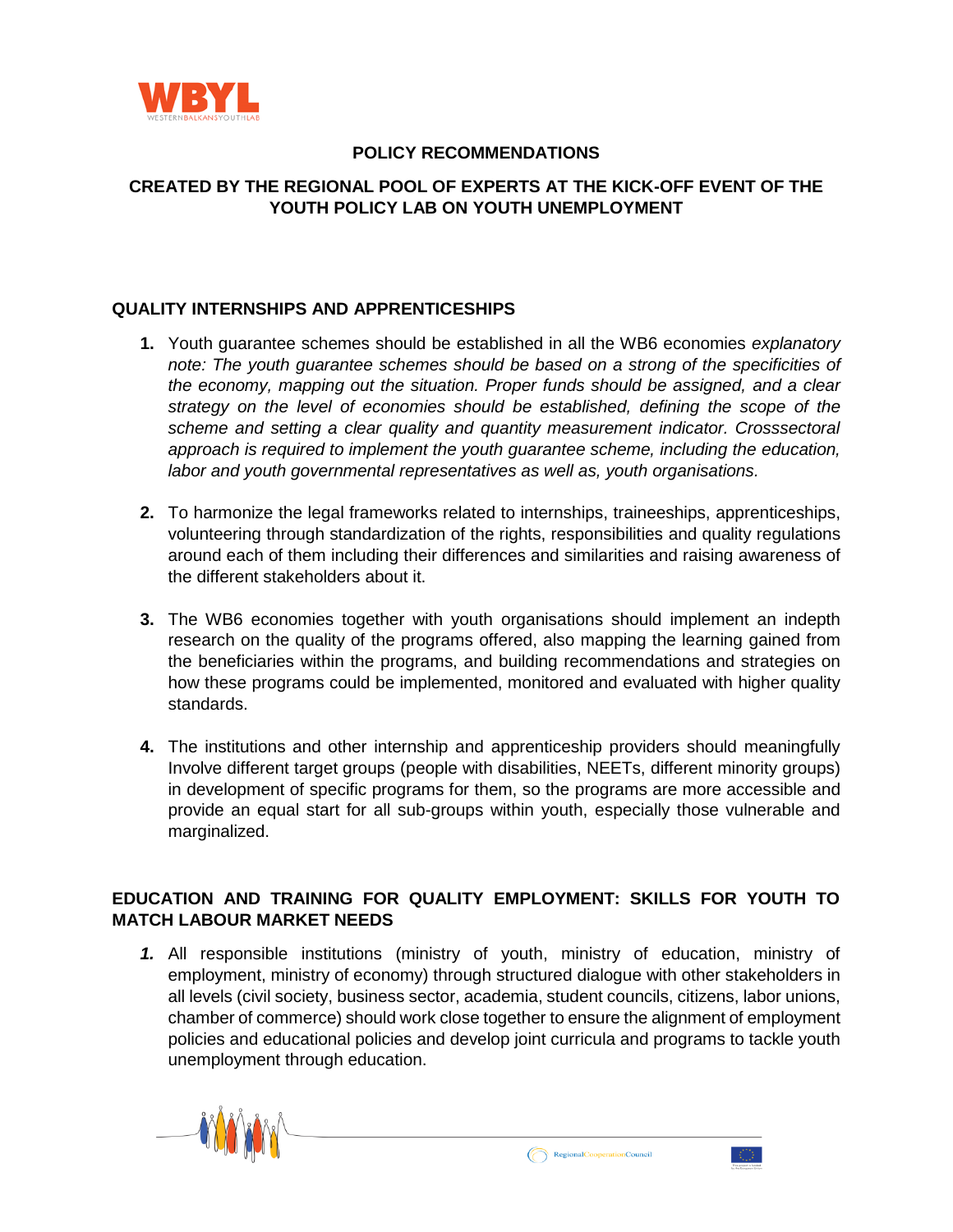

### **POLICY RECOMMENDATIONS**

# **CREATED BY THE REGIONAL POOL OF EXPERTS AT THE KICK-OFF EVENT OF THE YOUTH POLICY LAB ON YOUTH UNEMPLOYMENT**

#### **QUALITY INTERNSHIPS AND APPRENTICESHIPS**

- **1.** Youth guarantee schemes should be established in all the WB6 economies *explanatory note: The youth guarantee schemes should be based on a strong of the specificities of the economy, mapping out the situation. Proper funds should be assigned, and a clear strategy on the level of economies should be established, defining the scope of the scheme and setting a clear quality and quantity measurement indicator. Crosssectoral approach is required to implement the youth guarantee scheme, including the education, labor and youth governmental representatives as well as, youth organisations.*
- **2.** To harmonize the legal frameworks related to internships, traineeships, apprenticeships, volunteering through standardization of the rights, responsibilities and quality regulations around each of them including their differences and similarities and raising awareness of the different stakeholders about it.
- **3.** The WB6 economies together with youth organisations should implement an indepth research on the quality of the programs offered, also mapping the learning gained from the beneficiaries within the programs, and building recommendations and strategies on how these programs could be implemented, monitored and evaluated with higher quality standards.
- **4.** The institutions and other internship and apprenticeship providers should meaningfully Involve different target groups (people with disabilities, NEETs, different minority groups) in development of specific programs for them, so the programs are more accessible and provide an equal start for all sub-groups within youth, especially those vulnerable and marginalized.

# **EDUCATION AND TRAINING FOR QUALITY EMPLOYMENT: SKILLS FOR YOUTH TO MATCH LABOUR MARKET NEEDS**

*1.* All responsible institutions (ministry of youth, ministry of education, ministry of employment, ministry of economy) through structured dialogue with other stakeholders in all levels (civil society, business sector, academia, student councils, citizens, labor unions, chamber of commerce) should work close together to ensure the alignment of employment policies and educational policies and develop joint curricula and programs to tackle youth unemployment through education.